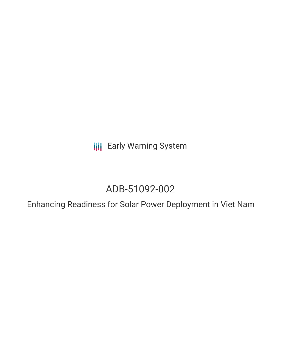**III** Early Warning System

# ADB-51092-002

Enhancing Readiness for Solar Power Deployment in Viet Nam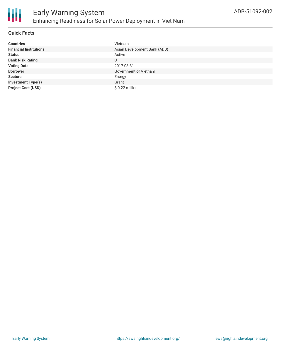

### **Quick Facts**

| <b>Countries</b>              | Vietnam                      |
|-------------------------------|------------------------------|
| <b>Financial Institutions</b> | Asian Development Bank (ADB) |
| <b>Status</b>                 | Active                       |
| <b>Bank Risk Rating</b>       | U                            |
| <b>Voting Date</b>            | 2017-03-31                   |
| <b>Borrower</b>               | Government of Vietnam        |
| <b>Sectors</b>                | Energy                       |
| <b>Investment Type(s)</b>     | Grant                        |
| <b>Project Cost (USD)</b>     | $$0.22$ million              |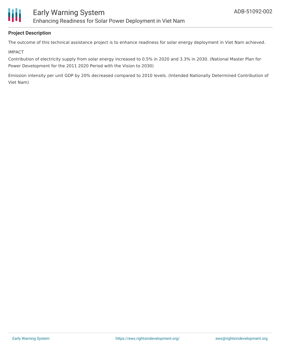

#### **Project Description**

The outcome of this technical assistance project is to enhance readiness for solar energy deployment in Viet Nam achieved.

#### IMPACT

Contribution of electricity supply from solar energy increased to 0.5% in 2020 and 3.3% in 2030. (National Master Plan for Power Development for the 2011 2020 Period with the Vision to 2030)

Emission intensity per unit GDP by 20% decreased compared to 2010 levels. (Intended Nationally Determined Contribution of Viet Nam)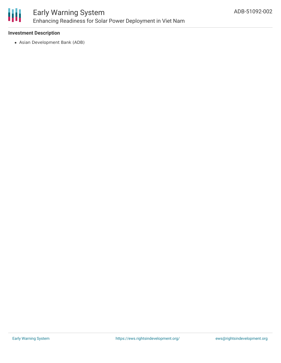

## Early Warning System Enhancing Readiness for Solar Power Deployment in Viet Nam

#### **Investment Description**

Asian Development Bank (ADB)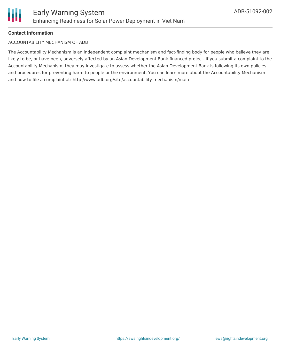### **Contact Information**

#### ACCOUNTABILITY MECHANISM OF ADB

The Accountability Mechanism is an independent complaint mechanism and fact-finding body for people who believe they are likely to be, or have been, adversely affected by an Asian Development Bank-financed project. If you submit a complaint to the Accountability Mechanism, they may investigate to assess whether the Asian Development Bank is following its own policies and procedures for preventing harm to people or the environment. You can learn more about the Accountability Mechanism and how to file a complaint at: http://www.adb.org/site/accountability-mechanism/main